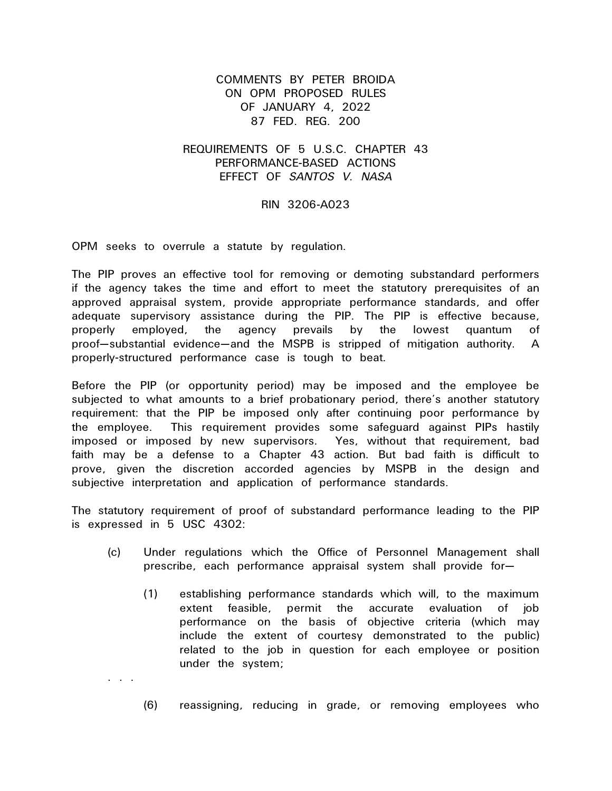## COMMENTS BY PETER BROIDA ON OPM PROPOSED RULES OF JANUARY 4, 2022 87 FED. REG. 200

## REQUIREMENTS OF 5 U.S.C. CHAPTER 43 PERFORMANCE-BASED ACTIONS EFFECT OF *SANTOS V. NASA*

## RIN 3206-A023

OPM seeks to overrule a statute by regulation.

. . .

The PIP proves an effective tool for removing or demoting substandard performers if the agency takes the time and effort to meet the statutory prerequisites of an approved appraisal system, provide appropriate performance standards, and offer adequate supervisory assistance during the PIP. The PIP is effective because, properly employed, the agency prevails by the lowest quantum of proof—substantial evidence—and the MSPB is stripped of mitigation authority. A properly-structured performance case is tough to beat.

Before the PIP (or opportunity period) may be imposed and the employee be subjected to what amounts to a brief probationary period, there's another statutory requirement: that the PIP be imposed only after continuing poor performance by the employee. This requirement provides some safeguard against PIPs hastily imposed or imposed by new supervisors. Yes, without that requirement, bad faith may be a defense to a Chapter 43 action. But bad faith is difficult to prove, given the discretion accorded agencies by MSPB in the design and subjective interpretation and application of performance standards.

The statutory requirement of proof of substandard performance leading to the PIP is expressed in 5 USC 4302:

- (c) Under regulations which the Office of Personnel Management shall prescribe, each performance appraisal system shall provide for—
	- (1) establishing performance standards which will, to the maximum extent feasible, permit the accurate evaluation of job performance on the basis of objective criteria (which may include the extent of courtesy demonstrated to the public) related to the job in question for each employee or position under the system;
	- (6) reassigning, reducing in grade, or removing employees who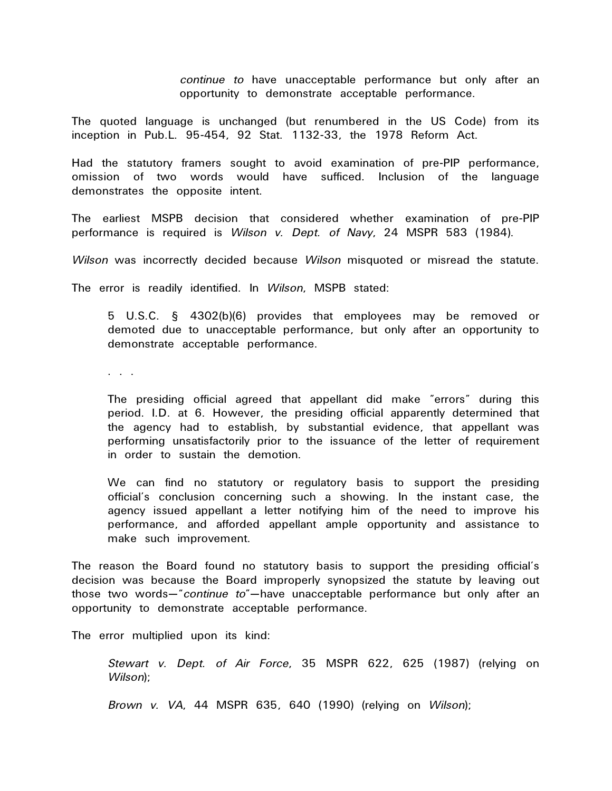*continue to* have unacceptable performance but only after an opportunity to demonstrate acceptable performance.

The quoted language is unchanged (but renumbered in the US Code) from its inception in Pub.L. 95-454, 92 Stat. 1132-33, the 1978 Reform Act.

Had the statutory framers sought to avoid examination of pre-PIP performance, omission of two words would have sufficed. Inclusion of the language demonstrates the opposite intent.

The earliest MSPB decision that considered whether examination of pre-PIP performance is required is *Wilson v. Dept. of Navy*, 24 MSPR 583 (1984).

*Wilson* was incorrectly decided because *Wilson* misquoted or misread the statute.

The error is readily identified. In *Wilson*, MSPB stated:

5 U.S.C. § 4302(b)(6) provides that employees may be removed or demoted due to unacceptable performance, but only after an opportunity to demonstrate acceptable performance.

. . .

The presiding official agreed that appellant did make "errors" during this period. I.D. at 6. However, the presiding official apparently determined that the agency had to establish, by substantial evidence, that appellant was performing unsatisfactorily prior to the issuance of the letter of requirement in order to sustain the demotion.

We can find no statutory or regulatory basis to support the presiding official's conclusion concerning such a showing. In the instant case, the agency issued appellant a letter notifying him of the need to improve his performance, and afforded appellant ample opportunity and assistance to make such improvement.

The reason the Board found no statutory basis to support the presiding official's decision was because the Board improperly synopsized the statute by leaving out those two words—"*continue to*"—have unacceptable performance but only after an opportunity to demonstrate acceptable performance.

The error multiplied upon its kind:

*Stewart v. Dept. of Air Force*, 35 MSPR 622, 625 (1987) (relying on *Wilson*);

*Brown v. VA*, 44 MSPR 635, 640 (1990) (relying on *Wilson*);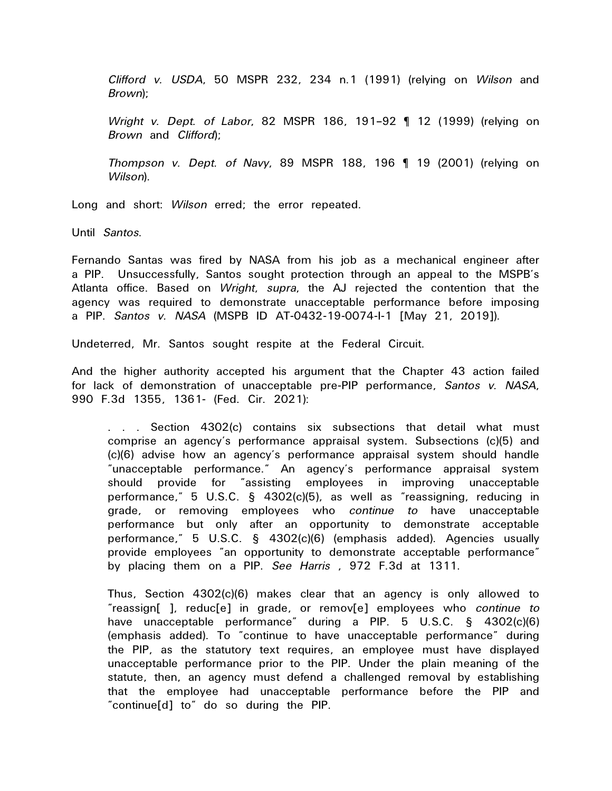*Clifford v. USDA*, 50 MSPR 232, 234 n.1 (1991) (relying on *Wilson* and *Brown*);

*Wright v. Dept. of Labor*, 82 MSPR 186, 191–92 ¶ 12 (1999) (relying on *Brown* and *Clifford*);

*Thompson v. Dept. of Navy*, 89 MSPR 188, 196 ¶ 19 (2001) (relying on *Wilson*).

Long and short: *Wilson* erred; the error repeated.

Until *Santos*.

Fernando Santas was fired by NASA from his job as a mechanical engineer after a PIP. Unsuccessfully, Santos sought protection through an appeal to the MSPB's Atlanta office. Based on *Wright*, *supra*, the AJ rejected the contention that the agency was required to demonstrate unacceptable performance before imposing a PIP. *Santos v. NASA* (MSPB ID AT-0432-19-0074-I-1 [May 21, 2019]).

Undeterred, Mr. Santos sought respite at the Federal Circuit.

And the higher authority accepted his argument that the Chapter 43 action failed for lack of demonstration of unacceptable pre-PIP performance, *Santos v. NASA*, 990 F.3d 1355, 1361- (Fed. Cir. 2021):

. . . Section 4302(c) contains six subsections that detail what must comprise an agency's performance appraisal system. Subsections (c)(5) and (c)(6) advise how an agency's performance appraisal system should handle "unacceptable performance." An agency's performance appraisal system should provide for "assisting employees in improving unacceptable performance," 5 U.S.C. § 4302(c)(5), as well as "reassigning, reducing in grade, or removing employees who *continue to* have unacceptable performance but only after an opportunity to demonstrate acceptable performance," 5 U.S.C. § 4302(c)(6) (emphasis added). Agencies usually provide employees "an opportunity to demonstrate acceptable performance" by placing them on a PIP. *See Harris* , 972 F.3d at 1311.

Thus, Section 4302(c)(6) makes clear that an agency is only allowed to "reassign[ ], reduc[e] in grade, or remov[e] employees who *continue to* have unacceptable performance" during a PIP. 5 U.S.C. § 4302(c)(6) (emphasis added). To "continue to have unacceptable performance" during the PIP, as the statutory text requires, an employee must have displayed unacceptable performance prior to the PIP. Under the plain meaning of the statute, then, an agency must defend a challenged removal by establishing that the employee had unacceptable performance before the PIP and "continue[d] to" do so during the PIP.